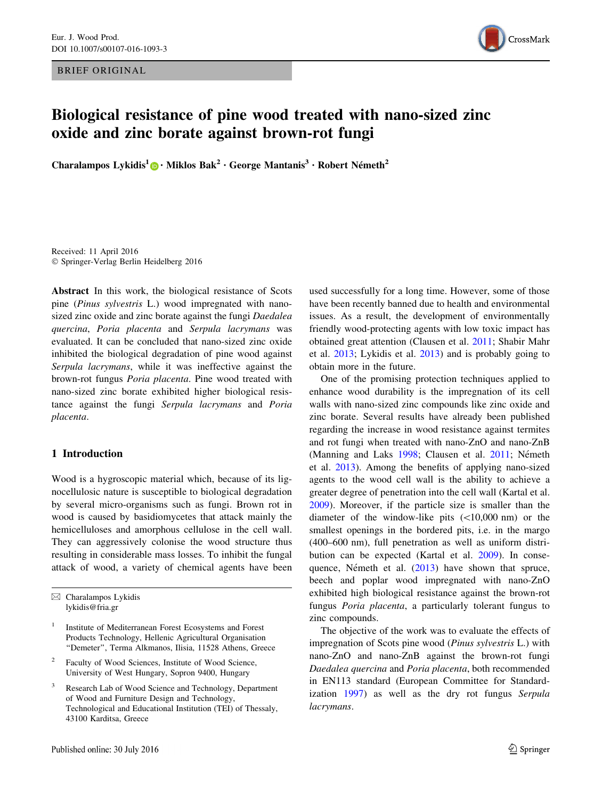BRIEF ORIGINAL



# Biological resistance of pine wood treated with nano-sized zinc oxide and zinc borate against brown-rot fungi

Charalampos Lykidis<sup>1</sup> • Miklos Bak<sup>2</sup> · George Mantanis<sup>3</sup> · Robert Németh<sup>2</sup>

Received: 11 April 2016 - Springer-Verlag Berlin Heidelberg 2016

Abstract In this work, the biological resistance of Scots pine (Pinus sylvestris L.) wood impregnated with nanosized zinc oxide and zinc borate against the fungi Daedalea quercina, Poria placenta and Serpula lacrymans was evaluated. It can be concluded that nano-sized zinc oxide inhibited the biological degradation of pine wood against Serpula lacrymans, while it was ineffective against the brown-rot fungus Poria placenta. Pine wood treated with nano-sized zinc borate exhibited higher biological resistance against the fungi Serpula lacrymans and Poria placenta.

## 1 Introduction

Wood is a hygroscopic material which, because of its lignocellulosic nature is susceptible to biological degradation by several micro-organisms such as fungi. Brown rot in wood is caused by basidiomycetes that attack mainly the hemicelluloses and amorphous cellulose in the cell wall. They can aggressively colonise the wood structure thus resulting in considerable mass losses. To inhibit the fungal attack of wood, a variety of chemical agents have been

- <sup>1</sup> Institute of Mediterranean Forest Ecosystems and Forest Products Technology, Hellenic Agricultural Organisation ''Demeter'', Terma Alkmanos, Ilisia, 11528 Athens, Greece
- <sup>2</sup> Faculty of Wood Sciences, Institute of Wood Science, University of West Hungary, Sopron 9400, Hungary
- Research Lab of Wood Science and Technology, Department of Wood and Furniture Design and Technology, Technological and Educational Institution (TEI) of Thessaly, 43100 Karditsa, Greece

used successfully for a long time. However, some of those have been recently banned due to health and environmental issues. As a result, the development of environmentally friendly wood-protecting agents with low toxic impact has obtained great attention (Clausen et al. [2011](#page-2-0); Shabir Mahr et al. [2013](#page-2-0); Lykidis et al. [2013](#page-2-0)) and is probably going to obtain more in the future.

One of the promising protection techniques applied to enhance wood durability is the impregnation of its cell walls with nano-sized zinc compounds like zinc oxide and zinc borate. Several results have already been published regarding the increase in wood resistance against termites and rot fungi when treated with nano-ZnO and nano-ZnB (Manning and Laks  $1998$ ; Clausen et al.  $2011$ ; Németh et al. [2013\)](#page-2-0). Among the benefits of applying nano-sized agents to the wood cell wall is the ability to achieve a greater degree of penetration into the cell wall (Kartal et al. [2009](#page-2-0)). Moreover, if the particle size is smaller than the diameter of the window-like pits  $(\leq 10,000$  nm) or the smallest openings in the bordered pits, i.e. in the margo (400–600 nm), full penetration as well as uniform distribution can be expected (Kartal et al. [2009](#page-2-0)). In consequence, Németh et al.  $(2013)$  $(2013)$  have shown that spruce, beech and poplar wood impregnated with nano-ZnO exhibited high biological resistance against the brown-rot fungus Poria placenta, a particularly tolerant fungus to zinc compounds.

The objective of the work was to evaluate the effects of impregnation of Scots pine wood (Pinus sylvestris L.) with nano-ZnO and nano-ZnB against the brown-rot fungi Daedalea quercina and Poria placenta, both recommended in EN113 standard (European Committee for Standardization [1997\)](#page-2-0) as well as the dry rot fungus Serpula lacrymans.

 $\boxtimes$  Charalampos Lykidis lykidis@fria.gr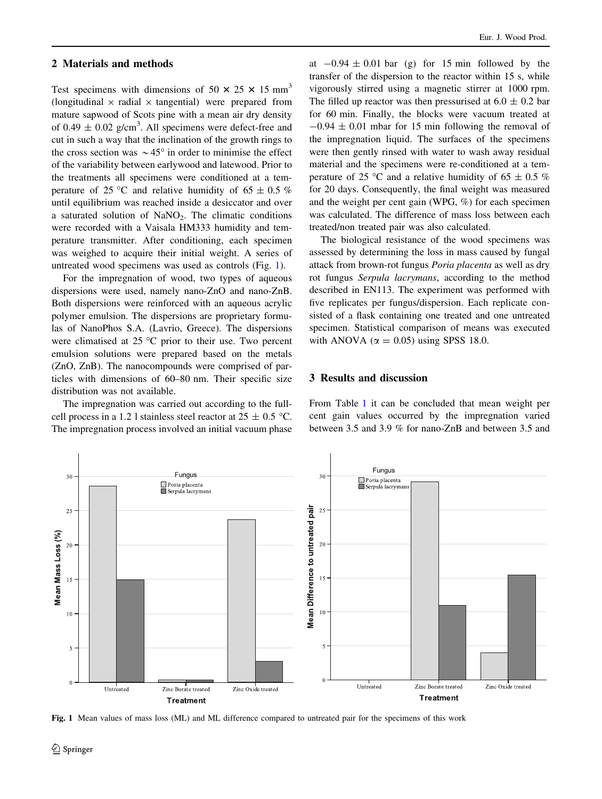### 2 Materials and methods

Test specimens with dimensions of  $50 \times 25 \times 15$  mm<sup>3</sup> (longitudinal  $\times$  radial  $\times$  tangential) were prepared from mature sapwood of Scots pine with a mean air dry density of  $0.49 \pm 0.02$  g/cm<sup>3</sup>. All specimens were defect-free and cut in such a way that the inclination of the growth rings to the cross section was  $\sim$  45 $\degree$  in order to minimise the effect of the variability between earlywood and latewood. Prior to the treatments all specimens were conditioned at a temperature of 25 °C and relative humidity of 65  $\pm$  0.5 % until equilibrium was reached inside a desiccator and over a saturated solution of  $NaNO<sub>2</sub>$ . The climatic conditions were recorded with a Vaisala HM333 humidity and temperature transmitter. After conditioning, each specimen was weighed to acquire their initial weight. A series of untreated wood specimens was used as controls (Fig. 1).

For the impregnation of wood, two types of aqueous dispersions were used, namely nano-ZnO and nano-ZnB. Both dispersions were reinforced with an aqueous acrylic polymer emulsion. The dispersions are proprietary formulas of NanoPhos S.A. (Lavrio, Greece). The dispersions were climatised at  $25^{\circ}$ C prior to their use. Two percent emulsion solutions were prepared based on the metals (ZnO, ZnB). The nanocompounds were comprised of particles with dimensions of 60–80 nm. Their specific size distribution was not available.

The impregnation was carried out according to the fullcell process in a 1.2 l stainless steel reactor at  $25 \pm 0.5$  °C. The impregnation process involved an initial vacuum phase at  $-0.94 \pm 0.01$  bar (g) for 15 min followed by the transfer of the dispersion to the reactor within 15 s, while vigorously stirred using a magnetic stirrer at 1000 rpm. The filled up reactor was then pressurised at  $6.0 \pm 0.2$  bar for 60 min. Finally, the blocks were vacuum treated at  $-0.94 \pm 0.01$  mbar for 15 min following the removal of the impregnation liquid. The surfaces of the specimens were then gently rinsed with water to wash away residual material and the specimens were re-conditioned at a temperature of 25 °C and a relative humidity of 65  $\pm$  0.5 % for 20 days. Consequently, the final weight was measured and the weight per cent gain (WPG, %) for each specimen was calculated. The difference of mass loss between each treated/non treated pair was also calculated.

The biological resistance of the wood specimens was assessed by determining the loss in mass caused by fungal attack from brown-rot fungus Poria placenta as well as dry rot fungus Serpula lacrymans, according to the method described in EN113. The experiment was performed with five replicates per fungus/dispersion. Each replicate consisted of a flask containing one treated and one untreated specimen. Statistical comparison of means was executed with ANOVA ( $\alpha = 0.05$ ) using SPSS 18.0.

#### 3 Results and discussion

From Table [1](#page-2-0) it can be concluded that mean weight per cent gain values occurred by the impregnation varied between 3.5 and 3.9 % for nano-ZnB and between 3.5 and



Fig. 1 Mean values of mass loss (ML) and ML difference compared to untreated pair for the specimens of this work